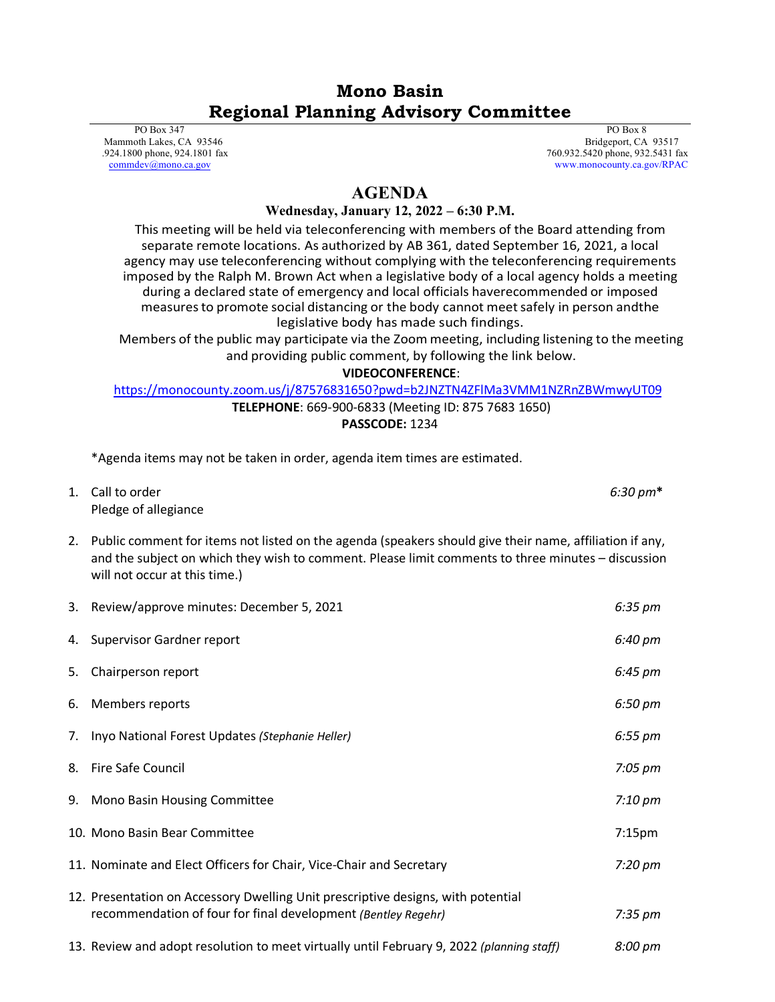## **Mono Basin Regional Planning Advisory Committee**

 PO Box 347 Mammoth Lakes, CA 93546 .924.1800 phone, 924.1801 fax [commdev@mono.ca.gov](mailto:commdev@mono.ca.gov)

 PO Box 8 Bridgeport, CA 93517 760.932.5420 phone, 932.5431 fax www.monocounty.ca.gov/RPAC

## **AGENDA**

## **Wednesday, January 12, 2022 – 6:30 P.M.**

This meeting will be held via teleconferencing with members of the Board attending from separate remote locations. As authorized by AB 361, dated September 16, 2021, a local agency may use teleconferencing without complying with the teleconferencing requirements imposed by the Ralph M. Brown Act when a legislative body of a local agency holds a meeting during a declared state of emergency and local officials haverecommended or imposed measuresto promote social distancing or the body cannot meetsafely in person andthe legislative body has made such findings.

Members of the public may participate via the Zoom meeting, including listening to the meeting and providing public comment, by following the link below.

## **VIDEOCONFERENCE**:

<https://monocounty.zoom.us/j/87576831650?pwd=b2JNZTN4ZFlMa3VMM1NZRnZBWmwyUT09>

**TELEPHONE**: 669-900-6833 (Meeting ID: 875 7683 1650) **PASSCODE:** 1234

\*Agenda items may not be taken in order, agenda item times are estimated.

| 1. Call to order     | $6:30 \text{ pm*}$ |
|----------------------|--------------------|
| Pledge of allegiance |                    |

2. Public comment for items not listed on the agenda (speakers should give their name, affiliation if any, and the subject on which they wish to comment. Please limit comments to three minutes – discussion will not occur at this time.)

|    | 3. Review/approve minutes: December 5, 2021                                                                                                       | $6:35 \text{ pm}$  |
|----|---------------------------------------------------------------------------------------------------------------------------------------------------|--------------------|
|    | 4. Supervisor Gardner report                                                                                                                      | 6:40 pm            |
| 5. | Chairperson report                                                                                                                                | 6:45 pm            |
|    | 6. Members reports                                                                                                                                | 6:50 pm            |
|    | 7. Inyo National Forest Updates (Stephanie Heller)                                                                                                | $6:55 \text{ pm}$  |
| 8. | Fire Safe Council                                                                                                                                 | $7:05 \text{ pm}$  |
|    | 9. Mono Basin Housing Committee                                                                                                                   | 7:10 pm            |
|    | 10. Mono Basin Bear Committee                                                                                                                     | 7:15 <sub>pm</sub> |
|    | 11. Nominate and Elect Officers for Chair, Vice-Chair and Secretary                                                                               | $7:20 \text{ pm}$  |
|    | 12. Presentation on Accessory Dwelling Unit prescriptive designs, with potential<br>recommendation of four for final development (Bentley Regehr) | $7:35 \text{ pm}$  |
|    | 13. Review and adopt resolution to meet virtually until February 9, 2022 (planning staff)                                                         | 8:00 pm            |